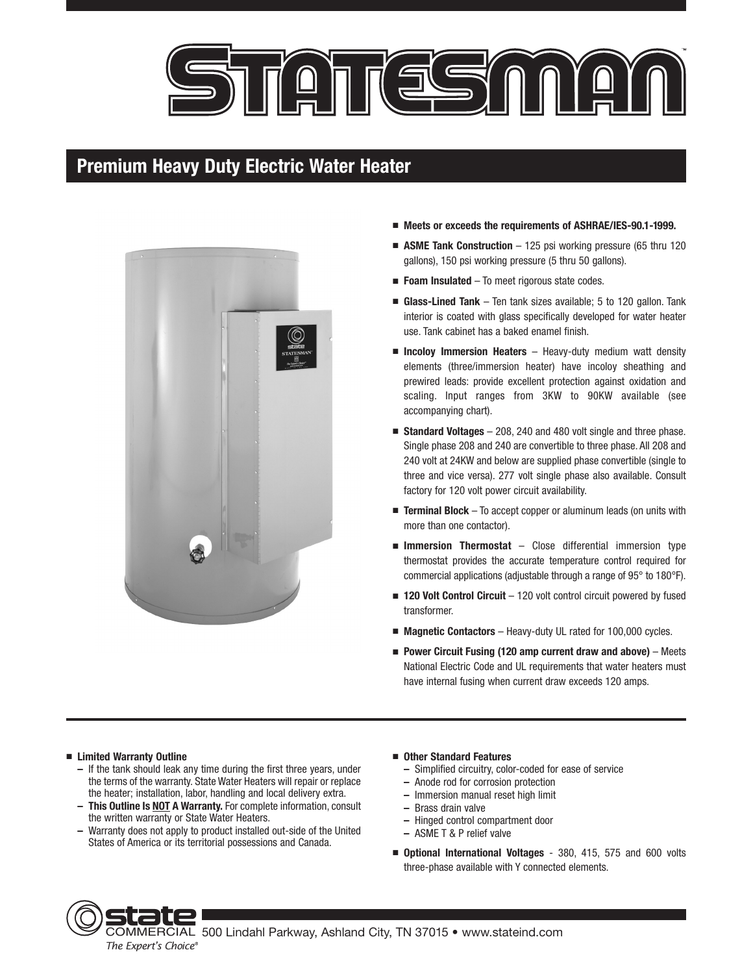



- **Meets or exceeds the requirements of ASHRAE/IES-90.1-1999.**
- **ASME Tank Construction** 125 psi working pressure (65 thru 120 gallons), 150 psi working pressure (5 thru 50 gallons).
- **Foam Insulated** To meet rigorous state codes.
- **Glass-Lined Tank** Ten tank sizes available; 5 to 120 gallon. Tank interior is coated with glass specifically developed for water heater use. Tank cabinet has a baked enamel finish.
- **Incoloy Immersion Heaters** Heavy-duty medium watt density elements (three/immersion heater) have incoloy sheathing and prewired leads: provide excellent protection against oxidation and scaling. Input ranges from 3KW to 90KW available (see accompanying chart).
- **Standard Voltages** 208, 240 and 480 volt single and three phase. Single phase 208 and 240 are convertible to three phase. All 208 and 240 volt at 24KW and below are supplied phase convertible (single to three and vice versa). 277 volt single phase also available. Consult factory for 120 volt power circuit availability.
- **Terminal Block** To accept copper or aluminum leads (on units with more than one contactor).
- **Immersion Thermostat** Close differential immersion type thermostat provides the accurate temperature control required for commercial applications (adjustable through a range of 95° to 180°F).
- **120 Volt Control Circuit** 120 volt control circuit powered by fused transformer.
- **Magnetic Contactors** Heavy-duty UL rated for 100,000 cycles.
- **Power Circuit Fusing (120 amp current draw and above)** Meets National Electric Code and UL requirements that water heaters must have internal fusing when current draw exceeds 120 amps.

### ■ **Limited Warranty Outline**

- **–** If the tank should leak any time during the first three years, under the terms of the warranty. State Water Heaters will repair or replace the heater; installation, labor, handling and local delivery extra.
- **This Outline Is NOT A Warranty.** For complete information, consult the written warranty or State Water Heaters.
- **–** Warranty does not apply to product installed out-side of the United States of America or its territorial possessions and Canada.

#### ■ **Other Standard Features**

- **–** Simplified circuitry, color-coded for ease of service
- **–** Anode rod for corrosion protection
- **–** Immersion manual reset high limit
- **–** Brass drain valve
- **–** Hinged control compartment door
- **–** ASME T & P relief valve
- **Optional International Voltages** 380, 415, 575 and 600 volts three-phase available with Y connected elements.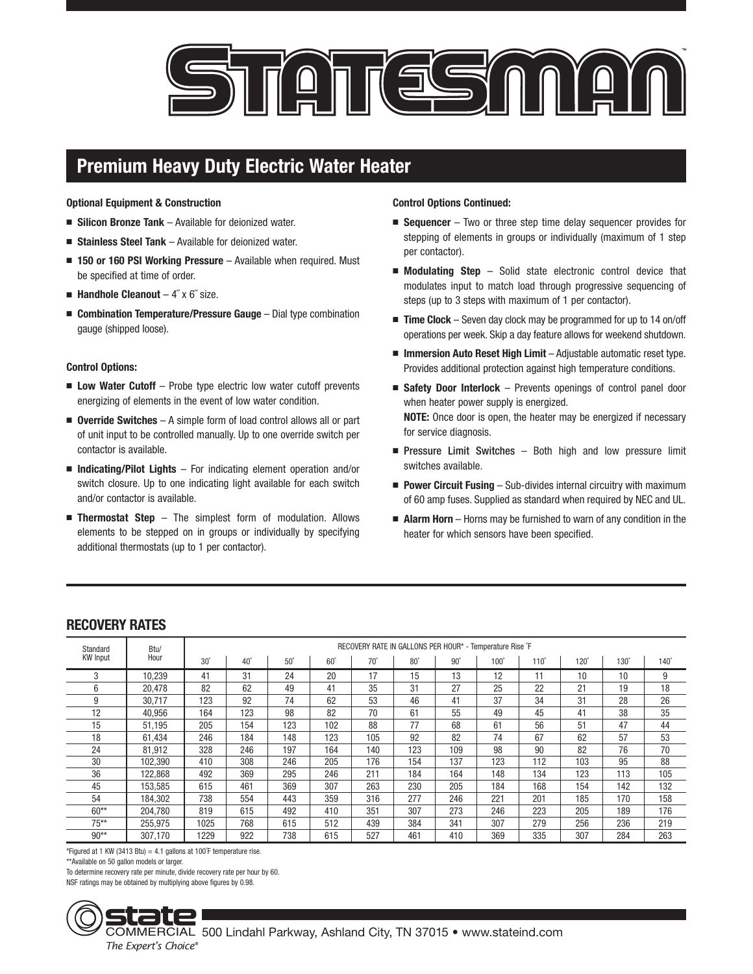

**Optional Equipment & Construction**

- **Silicon Bronze Tank** Available for deionized water.
- **Stainless Steel Tank** Available for deionized water.
- **150 or 160 PSI Working Pressure** Available when required. Must be specified at time of order.
- **Handhole Cleanout** 4" x 6" size.
- **Combination Temperature/Pressure Gauge** Dial type combination gauge (shipped loose).

### **Control Options:**

- Low Water Cutoff Probe type electric low water cutoff prevents energizing of elements in the event of low water condition.
- **Override Switches** A simple form of load control allows all or part of unit input to be controlled manually. Up to one override switch per contactor is available.
- **Indicating/Pilot Lights** For indicating element operation and/or switch closure. Up to one indicating light available for each switch and/or contactor is available.
- **Thermostat Step** The simplest form of modulation. Allows elements to be stepped on in groups or individually by specifying additional thermostats (up to 1 per contactor).

### **Control Options Continued:**

- **Sequencer** Two or three step time delay sequencer provides for stepping of elements in groups or individually (maximum of 1 step per contactor).
- **Modulating Step** Solid state electronic control device that modulates input to match load through progressive sequencing of steps (up to 3 steps with maximum of 1 per contactor).
- **Time Clock** Seven day clock may be programmed for up to 14 on/off operations per week. Skip a day feature allows for weekend shutdown.
- **Immersion Auto Reset High Limit** Adjustable automatic reset type. Provides additional protection against high temperature conditions.
- **Safety Door Interlock** Prevents openings of control panel door when heater power supply is energized. **NOTE:** Once door is open, the heater may be energized if necessary for service diagnosis.
- Pressure Limit Switches Both high and low pressure limit switches available.
- **Power Circuit Fusing** Sub-divides internal circuitry with maximum of 60 amp fuses. Supplied as standard when required by NEC and UL.
- **Alarm Horn** Horns may be furnished to warn of any condition in the heater for which sensors have been specified.

| Standard<br><b>KW</b> Input | Btu/<br>Hour | RECOVERY RATE IN GALLONS PER HOUR* - Temperature Rise F |            |            |            |            |            |            |             |             |             |             |             |
|-----------------------------|--------------|---------------------------------------------------------|------------|------------|------------|------------|------------|------------|-------------|-------------|-------------|-------------|-------------|
|                             |              | $30^\circ$                                              | $40^\circ$ | $50^\circ$ | $60^\circ$ | $70^\circ$ | $80^\circ$ | $90^\circ$ | $100^\circ$ | $110^\circ$ | $120^\circ$ | $130^\circ$ | $140^\circ$ |
| 3                           | 10.239       | 41                                                      | 31         | 24         | 20         | 17         | 15         | 13         | 12          | 11          | 10          | 10          | 9           |
| 6                           | 20,478       | 82                                                      | 62         | 49         | 41         | 35         | 31         | 27         | 25          | 22          | 21          | 19          | 18          |
| 9                           | 30.717       | 123                                                     | 92         | 74         | 62         | 53         | 46         | 41         | 37          | 34          | 31          | 28          | 26          |
| 12                          | 40,956       | 164                                                     | 123        | 98         | 82         | 70         | 61         | 55         | 49          | 45          | 41          | 38          | 35          |
| 15                          | 51,195       | 205                                                     | 154        | 123        | 102        | 88         | 77         | 68         | 61          | 56          | 51          | 47          | 44          |
| 18                          | 61.434       | 246                                                     | 184        | 148        | 123        | 105        | 92         | 82         | 74          | 67          | 62          | 57          | 53          |
| 24                          | 81,912       | 328                                                     | 246        | 197        | 164        | 140        | 123        | 109        | 98          | 90          | 82          | 76          | 70          |
| 30                          | 102,390      | 410                                                     | 308        | 246        | 205        | 176        | 154        | 137        | 123         | 112         | 103         | 95          | 88          |
| 36                          | 122.868      | 492                                                     | 369        | 295        | 246        | 211        | 184        | 164        | 148         | 134         | 123         | 113         | 105         |
| 45                          | 153,585      | 615                                                     | 461        | 369        | 307        | 263        | 230        | 205        | 184         | 168         | 154         | 142         | 132         |
| 54                          | 184,302      | 738                                                     | 554        | 443        | 359        | 316        | 277        | 246        | 221         | 201         | 185         | 170         | 158         |
| $60**$                      | 204.780      | 819                                                     | 615        | 492        | 410        | 351        | 307        | 273        | 246         | 223         | 205         | 189         | 176         |
| $75***$                     | 255,975      | 1025                                                    | 768        | 615        | 512        | 439        | 384        | 341        | 307         | 279         | 256         | 236         | 219         |
| $90**$                      | 307.170      | 1229                                                    | 922        | 738        | 615        | 527        | 461        | 410        | 369         | 335         | 307         | 284         | 263         |

## **RECOVERY RATES**

\*Figured at 1 KW (3413 Btu) = 4.1 gallons at 100°F temperature rise.

\*\*Available on 50 gallon models or larger.

To determine recovery rate per minute, divide recovery rate per hour by 60.

NSF ratings may be obtained by multiplying above figures by 0.98.

COMMERCIAL 500 Lindahl Parkway, Ashland City, TN 37015 • www.stateind.com *The Expert's Choice®*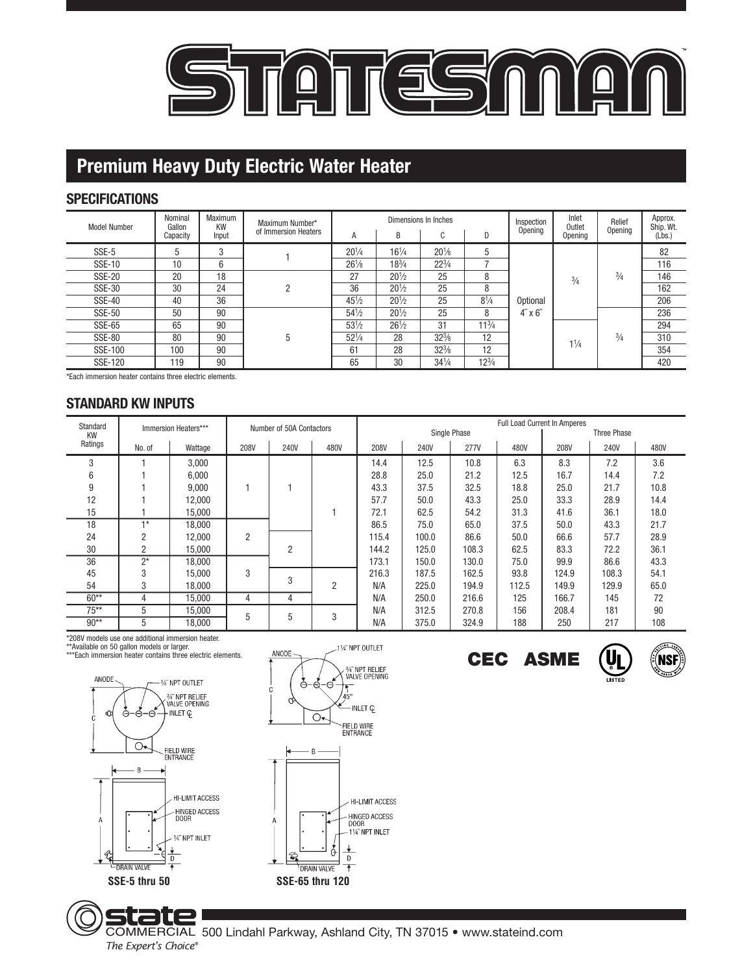

## **SPECIFICATIONS**

| <b>Model Number</b> | Nominal<br>Gallon<br>Capacity | Maximum<br>KW<br>Input | Maximum Number*<br>of Immersion Heaters | A               | B               | Dimensions In Inches<br>$\sim$<br>U | D              | Inspection<br>Opening        | Inlet<br>Outlet<br>Opening | Relief<br>Opening | Approx.<br>Ship. Wt.<br>(Lbs.) |
|---------------------|-------------------------------|------------------------|-----------------------------------------|-----------------|-----------------|-------------------------------------|----------------|------------------------------|----------------------------|-------------------|--------------------------------|
| SSE-5               | 5                             | 3                      |                                         | $20^{1/4}$      | $16^{1}/4$      | $20\frac{1}{8}$                     | 5              | Optional<br>$4'' \times 6''$ | $\frac{3}{4}$              | $\frac{3}{4}$     | 82                             |
| <b>SSE-10</b>       | 10                            | 6                      |                                         | $26\frac{1}{8}$ | $18^{3}/4$      | $22^{3}/4$                          |                |                              |                            |                   | 116                            |
| <b>SSE-20</b>       | 20                            | 18                     | 2                                       | 27              | $20^{1/2}$      | 25                                  | 8              |                              |                            |                   | 146                            |
| SSE-30              | 30                            | 24                     |                                         | 36              | $20^{1/2}$      | 25                                  | 8              |                              |                            |                   | 162                            |
| <b>SSE-40</b>       | 40                            | 36                     |                                         | $45\frac{1}{2}$ | $20^{1/2}$      | 25                                  | $8\frac{1}{4}$ |                              |                            |                   | 206                            |
| <b>SSE-50</b>       | 50                            | 90                     | 5                                       | $54\frac{1}{2}$ | $20^{1/2}$      | 25                                  | 8              |                              |                            | $\frac{3}{4}$     | 236                            |
| SSE-65              | 65                            | 90                     |                                         | $53\frac{1}{2}$ | $26\frac{1}{2}$ | 31                                  | $11^{3}/4$     |                              | $1\frac{1}{4}$             |                   | 294                            |
| <b>SSE-80</b>       | 80                            | 90                     |                                         | $52^{1/4}$      | 28              | $32\frac{3}{8}$                     | 12             |                              |                            |                   | 310                            |
| SSE-100             | 100                           | 90                     |                                         | 61              | 28              | $32\frac{3}{8}$                     | 12             |                              |                            |                   | 354                            |
| SSE-120             | 119                           | 90                     |                                         | 65              | 30              | $34\frac{1}{4}$                     | $12^{3}/4$     |                              |                            |                   | 420                            |

\*Each immersion heater contains three electric elements.

## **STANDARD KW INPUTS**

| Standard             | Immersion Heaters*** |         | Number of 50A Contactors |                |      | <b>Full Load Current In Amperes</b> |       |              |             |       |       |      |
|----------------------|----------------------|---------|--------------------------|----------------|------|-------------------------------------|-------|--------------|-------------|-------|-------|------|
| <b>KW</b><br>Ratings |                      |         |                          |                |      |                                     |       | Single Phase | Three Phase |       |       |      |
|                      | No. of               | Wattage | 208V                     | <b>240V</b>    | 480V | 208V                                | 240V  | <b>277V</b>  | 480V        | 208V  | 240V  | 480V |
| 3                    |                      | 3,000   |                          |                |      | 14.4                                | 12.5  | 10.8         | 6.3         | 8.3   | 7.2   | 3.6  |
| 6                    |                      | 6,000   |                          |                |      | 28.8                                | 25.0  | 21.2         | 12.5        | 16.7  | 14.4  | 7.2  |
| 9                    |                      | 9.000   |                          |                |      | 43.3                                | 37.5  | 32.5         | 18.8        | 25.0  | 21.7  | 10.8 |
| 12                   |                      | 12.000  |                          |                |      | 57.7                                | 50.0  | 43.3         | 25.0        | 33.3  | 28.9  | 14.4 |
| 15                   |                      | 15.000  |                          |                |      | 72.1                                | 62.5  | 54.2         | 31.3        | 41.6  | 36.1  | 18.0 |
| 18                   | $+*$                 | 18.000  |                          |                |      | 86.5                                | 75.0  | 65.0         | 37.5        | 50.0  | 43.3  | 21.7 |
| 24                   | 2                    | 12.000  | $\overline{2}$           |                |      | 115.4                               | 100.0 | 86.6         | 50.0        | 66.6  | 57.7  | 28.9 |
| 30                   | $\overline{2}$       | 15.000  |                          | $\overline{2}$ |      | 144.2                               | 125.0 | 108.3        | 62.5        | 83.3  | 72.2  | 36.1 |
| 36                   | $2^*$                | 18.000  |                          |                |      | 173.1                               | 150.0 | 130.0        | 75.0        | 99.9  | 86.6  | 43.3 |
| 45                   | 3                    | 15.000  | 3                        |                |      | 216.3                               | 187.5 | 162.5        | 93.8        | 124.9 | 108.3 | 54.1 |
| 54                   | 3                    | 18.000  |                          | 3              | 2    | N/A                                 | 225.0 | 194.9        | 112.5       | 149.9 | 129.9 | 65.0 |
| $60**$               | 4                    | 15.000  | 4                        | 4              |      | N/A                                 | 250.0 | 216.6        | 125         | 166.7 | 145   | 72   |
| $75***$              | 5                    | 15,000  | 5                        | 5              | 3    | N/A                                 | 312.5 | 270.8        | 156         | 208.4 | 181   | 90   |
| $90**$               | 5                    | 18,000  |                          |                |      | N/A                                 | 375.0 | 324.9        | 188         | 250   | 217   | 108  |

\*208V models use one additional immersion heater. \*\*Available on 50 gallon models or larger.







### S COMMERCIAL 500 Lindahl Parkway, Ashland City, TN 37015 • www.stateind.com *The Expert's Choice®*